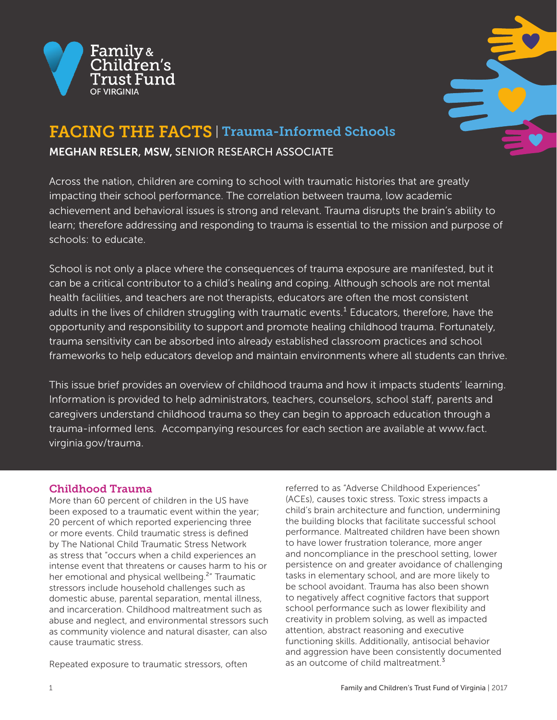



# FACING THE FACTS | Trauma-Informed Schools MEGHAN RESLER, MSW, SENIOR RESEARCH ASSOCIATE

Across the nation, children are coming to school with traumatic histories that are greatly impacting their school performance. The correlation between trauma, low academic achievement and behavioral issues is strong and relevant. Trauma disrupts the brain's ability to learn; therefore addressing and responding to trauma is essential to the mission and purpose of schools: to educate.

School is not only a place where the consequences of trauma exposure are manifested, but it can be a critical contributor to a child's healing and coping. Although schools are not mental health facilities, and teachers are not therapists, educators are often the most consistent adults in the lives of children struggling with traumatic events.<sup>1</sup> Educators, therefore, have the opportunity and responsibility to support and promote healing childhood trauma. Fortunately, trauma sensitivity can be absorbed into already established classroom practices and school frameworks to help educators develop and maintain environments where all students can thrive.

This issue brief provides an overview of childhood trauma and how it impacts students' learning. Information is provided to help administrators, teachers, counselors, school staff, parents and caregivers understand childhood trauma so they can begin to approach education through a trauma-informed lens. Accompanying resources for each section are available at www.fact. virginia.gov/trauma.

## Childhood Trauma

More than 60 percent of children in the US have been exposed to a traumatic event within the year; 20 percent of which reported experiencing three or more events. Child traumatic stress is defined by The National Child Traumatic Stress Network as stress that "occurs when a child experiences an intense event that threatens or causes harm to his or her emotional and physical wellbeing.<sup>2</sup>" Traumatic stressors include household challenges such as domestic abuse, parental separation, mental illness, and incarceration. Childhood maltreatment such as abuse and neglect, and environmental stressors such as community violence and natural disaster, can also cause traumatic stress.

Repeated exposure to traumatic stressors, often

referred to as "Adverse Childhood Experiences" (ACEs), causes toxic stress. Toxic stress impacts a child's brain architecture and function, undermining the building blocks that facilitate successful school performance. Maltreated children have been shown to have lower frustration tolerance, more anger and noncompliance in the preschool setting, lower persistence on and greater avoidance of challenging tasks in elementary school, and are more likely to be school avoidant. Trauma has also been shown to negatively affect cognitive factors that support school performance such as lower flexibility and creativity in problem solving, as well as impacted attention, abstract reasoning and executive functioning skills. Additionally, antisocial behavior and aggression have been consistently documented as an outcome of child maltreatment.<sup>3</sup>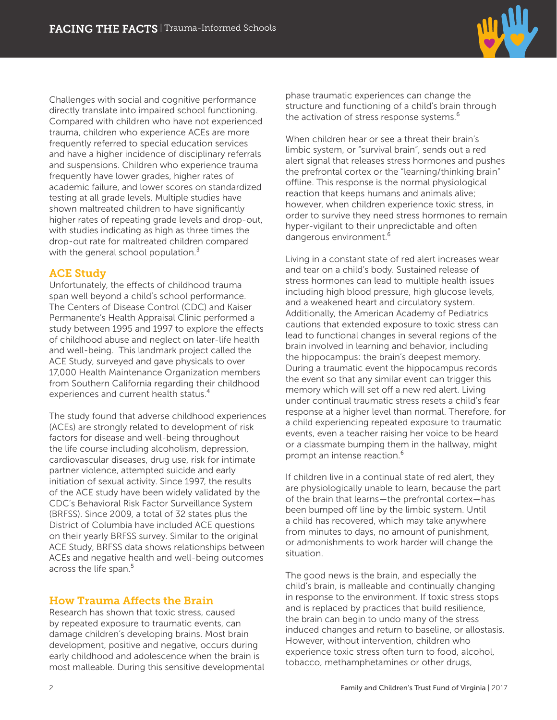

Challenges with social and cognitive performance directly translate into impaired school functioning. Compared with children who have not experienced trauma, children who experience ACEs are more frequently referred to special education services and have a higher incidence of disciplinary referrals and suspensions. Children who experience trauma frequently have lower grades, higher rates of academic failure, and lower scores on standardized testing at all grade levels. Multiple studies have shown maltreated children to have significantly higher rates of repeating grade levels and drop-out, with studies indicating as high as three times the drop-out rate for maltreated children compared with the general school population.<sup>3</sup>

## ACE Study

Unfortunately, the effects of childhood trauma span well beyond a child's school performance. The Centers of Disease Control (CDC) and Kaiser Permanente's Health Appraisal Clinic performed a study between 1995 and 1997 to explore the effects of childhood abuse and neglect on later-life health and well-being. This landmark project called the ACE Study, surveyed and gave physicals to over 17,000 Health Maintenance Organization members from Southern California regarding their childhood experiences and current health status.<sup>4</sup>

The study found that adverse childhood experiences (ACEs) are strongly related to development of risk factors for disease and well-being throughout the life course including alcoholism, depression, cardiovascular diseases, drug use, risk for intimate partner violence, attempted suicide and early initiation of sexual activity. Since 1997, the results of the ACE study have been widely validated by the CDC's Behavioral Risk Factor Surveillance System (BRFSS). Since 2009, a total of 32 states plus the District of Columbia have included ACE questions on their yearly BRFSS survey. Similar to the original ACE Study, BRFSS data shows relationships between ACEs and negative health and well-being outcomes across the life span.<sup>5</sup>

## How Trauma Affects the Brain

Research has shown that toxic stress, caused by repeated exposure to traumatic events, can damage children's developing brains. Most brain development, positive and negative, occurs during early childhood and adolescence when the brain is most malleable. During this sensitive developmental phase traumatic experiences can change the structure and functioning of a child's brain through the activation of stress response systems.<sup>6</sup>

When children hear or see a threat their brain's limbic system, or "survival brain", sends out a red alert signal that releases stress hormones and pushes the prefrontal cortex or the "learning/thinking brain" offline. This response is the normal physiological reaction that keeps humans and animals alive; however, when children experience toxic stress, in order to survive they need stress hormones to remain hyper-vigilant to their unpredictable and often dangerous environment.<sup>6</sup>

Living in a constant state of red alert increases wear and tear on a child's body. Sustained release of stress hormones can lead to multiple health issues including high blood pressure, high glucose levels, and a weakened heart and circulatory system. Additionally, the American Academy of Pediatrics cautions that extended exposure to toxic stress can lead to functional changes in several regions of the brain involved in learning and behavior, including the hippocampus: the brain's deepest memory. During a traumatic event the hippocampus records the event so that any similar event can trigger this memory which will set off a new red alert. Living under continual traumatic stress resets a child's fear response at a higher level than normal. Therefore, for a child experiencing repeated exposure to traumatic events, even a teacher raising her voice to be heard or a classmate bumping them in the hallway, might prompt an intense reaction.<sup>6</sup>

If children live in a continual state of red alert, they are physiologically unable to learn, because the part of the brain that learns—the prefrontal cortex—has been bumped off line by the limbic system. Until a child has recovered, which may take anywhere from minutes to days, no amount of punishment, or admonishments to work harder will change the situation.

The good news is the brain, and especially the child's brain, is malleable and continually changing in response to the environment. If toxic stress stops and is replaced by practices that build resilience, the brain can begin to undo many of the stress induced changes and return to baseline, or allostasis. However, without intervention, children who experience toxic stress often turn to food, alcohol, tobacco, methamphetamines or other drugs,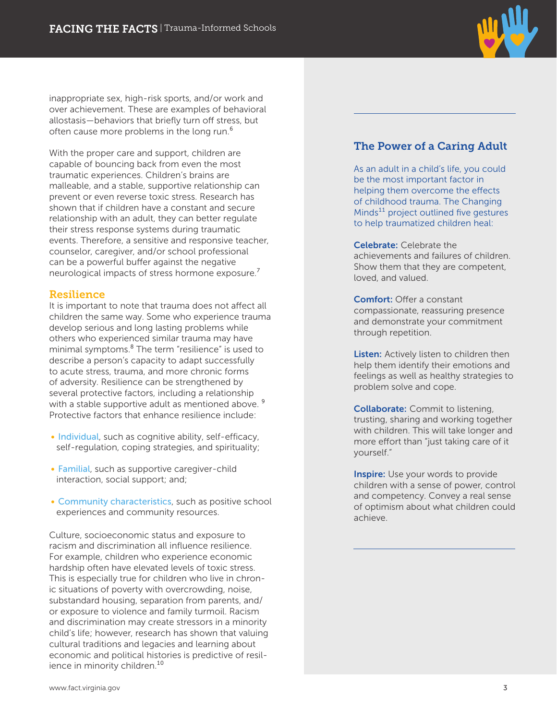

inappropriate sex, high-risk sports, and/or work and over achievement. These are examples of behavioral allostasis—behaviors that briefly turn off stress, but often cause more problems in the long run.<sup>6</sup>

With the proper care and support, children are capable of bouncing back from even the most traumatic experiences. Children's brains are malleable, and a stable, supportive relationship can prevent or even reverse toxic stress. Research has shown that if children have a constant and secure relationship with an adult, they can better regulate their stress response systems during traumatic events. Therefore, a sensitive and responsive teacher, counselor, caregiver, and/or school professional can be a powerful buffer against the negative neurological impacts of stress hormone exposure.<sup>7</sup>

## Resilience

It is important to note that trauma does not affect all children the same way. Some who experience trauma develop serious and long lasting problems while others who experienced similar trauma may have minimal symptoms.<sup>8</sup> The term "resilience" is used to describe a person's capacity to adapt successfully to acute stress, trauma, and more chronic forms of adversity. Resilience can be strengthened by several protective factors, including a relationship with a stable supportive adult as mentioned above.<sup>9</sup> Protective factors that enhance resilience include:

- Individual, such as cognitive ability, self-efficacy, self-regulation, coping strategies, and spirituality;
- Familial, such as supportive caregiver-child interaction, social support; and;
- Community characteristics, such as positive school experiences and community resources.

Culture, socioeconomic status and exposure to racism and discrimination all influence resilience. For example, children who experience economic hardship often have elevated levels of toxic stress. This is especially true for children who live in chronic situations of poverty with overcrowding, noise, substandard housing, separation from parents, and/ or exposure to violence and family turmoil. Racism and discrimination may create stressors in a minority child's life; however, research has shown that valuing cultural traditions and legacies and learning about economic and political histories is predictive of resilience in minority children.<sup>10</sup>

## The Power of a Caring Adult

As an adult in a child's life, you could be the most important factor in helping them overcome the effects of childhood trauma. The Changing Minds<sup>11</sup> project outlined five gestures to help traumatized children heal:

**Celebrate:** Celebrate the achievements and failures of children. Show them that they are competent, loved, and valued.

Comfort: Offer a constant compassionate, reassuring presence and demonstrate your commitment through repetition.

Listen: Actively listen to children then help them identify their emotions and feelings as well as healthy strategies to problem solve and cope.

**Collaborate:** Commit to listening, trusting, sharing and working together with children. This will take longer and more effort than "just taking care of it yourself."

**Inspire:** Use your words to provide children with a sense of power, control and competency. Convey a real sense of optimism about what children could achieve.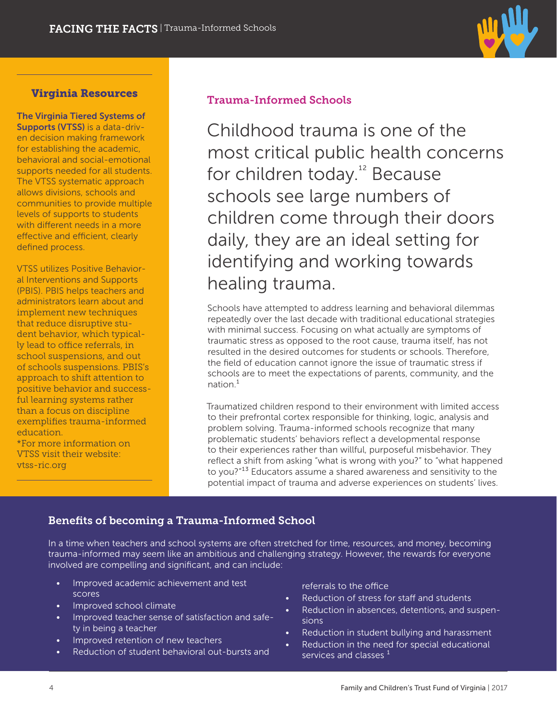

## Virginia Resources

The Virginia Tiered Systems of Supports (VTSS) is a data-driven decision making framework for establishing the academic, behavioral and social-emotional supports needed for all students. The VTSS systematic approach allows divisions, schools and communities to provide multiple levels of supports to students with different needs in a more effective and efficient, clearly defined process.

VTSS utilizes Positive Behavioral Interventions and Supports (PBIS). PBIS helps teachers and administrators learn about and implement new techniques that reduce disruptive student behavior, which typically lead to office referrals, in school suspensions, and out of schools suspensions. PBIS's approach to shift attention to positive behavior and successful learning systems rather than a focus on discipline exemplifies trauma-informed education. \*For more information on

VTSS visit their website: vtss-ric.org

## Trauma-Informed Schools

Childhood trauma is one of the most critical public health concerns for children today.<sup>12</sup> Because schools see large numbers of children come through their doors daily, they are an ideal setting for identifying and working towards healing trauma.

Schools have attempted to address learning and behavioral dilemmas repeatedly over the last decade with traditional educational strategies with minimal success. Focusing on what actually are symptoms of traumatic stress as opposed to the root cause, trauma itself, has not resulted in the desired outcomes for students or schools. Therefore, the field of education cannot ignore the issue of traumatic stress if schools are to meet the expectations of parents, community, and the  $nation<sup>1</sup>$ 

Traumatized children respond to their environment with limited access to their prefrontal cortex responsible for thinking, logic, analysis and problem solving. Trauma-informed schools recognize that many problematic students' behaviors reflect a developmental response to their experiences rather than willful, purposeful misbehavior. They reflect a shift from asking "what is wrong with you?" to "what happened to you?"<sup>13</sup> Educators assume a shared awareness and sensitivity to the potential impact of trauma and adverse experiences on students' lives.

## Benefits of becoming a Trauma-Informed School

In a time when teachers and school systems are often stretched for time, resources, and money, becoming trauma-informed may seem like an ambitious and challenging strategy. However, the rewards for everyone involved are compelling and significant, and can include:

- Improved academic achievement and test scores
- Improved school climate
- Improved teacher sense of satisfaction and safety in being a teacher
- Improved retention of new teachers
- Reduction of student behavioral out-bursts and

referrals to the office

- Reduction of stress for staff and students
- Reduction in absences, detentions, and suspensions
- Reduction in student bullying and harassment
- Reduction in the need for special educational services and classes  $1$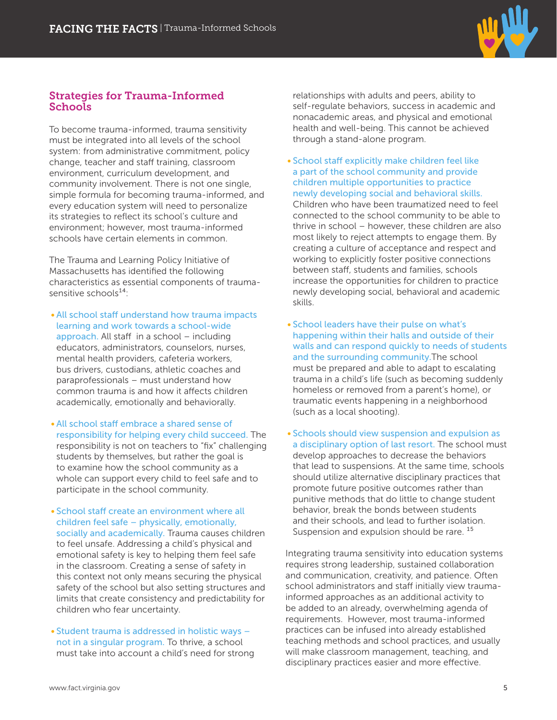

## Strategies for Trauma-Informed **Schools**

To become trauma-informed, trauma sensitivity must be integrated into all levels of the school system: from administrative commitment, policy change, teacher and staff training, classroom environment, curriculum development, and community involvement. There is not one single, simple formula for becoming trauma-informed, and every education system will need to personalize its strategies to reflect its school's culture and environment; however, most trauma-informed schools have certain elements in common.

The Trauma and Learning Policy Initiative of Massachusetts has identified the following characteristics as essential components of traumasensitive schools<sup>14.</sup>

- All school staff understand how trauma impacts learning and work towards a school-wide approach. All staff in a school – including educators, administrators, counselors, nurses, mental health providers, cafeteria workers, bus drivers, custodians, athletic coaches and paraprofessionals – must understand how common trauma is and how it affects children academically, emotionally and behaviorally.
- All school staff embrace a shared sense of responsibility for helping every child succeed. The responsibility is not on teachers to "fix" challenging students by themselves, but rather the goal is to examine how the school community as a whole can support every child to feel safe and to participate in the school community.
- School staff create an environment where all children feel safe – physically, emotionally, socially and academically. Trauma causes children to feel unsafe. Addressing a child's physical and emotional safety is key to helping them feel safe in the classroom. Creating a sense of safety in this context not only means securing the physical safety of the school but also setting structures and limits that create consistency and predictability for children who fear uncertainty.
- Student trauma is addressed in holistic ways not in a singular program. To thrive, a school must take into account a child's need for strong

relationships with adults and peers, ability to self-regulate behaviors, success in academic and nonacademic areas, and physical and emotional health and well-being. This cannot be achieved through a stand-alone program.

- School staff explicitly make children feel like a part of the school community and provide children multiple opportunities to practice newly developing social and behavioral skills. Children who have been traumatized need to feel connected to the school community to be able to thrive in school – however, these children are also most likely to reject attempts to engage them. By creating a culture of acceptance and respect and working to explicitly foster positive connections between staff, students and families, schools increase the opportunities for children to practice newly developing social, behavioral and academic skills.
- School leaders have their pulse on what's happening within their halls and outside of their walls and can respond quickly to needs of students and the surrounding community.The school must be prepared and able to adapt to escalating trauma in a child's life (such as becoming suddenly homeless or removed from a parent's home), or traumatic events happening in a neighborhood (such as a local shooting).
- Schools should view suspension and expulsion as a disciplinary option of last resort. The school must develop approaches to decrease the behaviors that lead to suspensions. At the same time, schools should utilize alternative disciplinary practices that promote future positive outcomes rather than punitive methods that do little to change student behavior, break the bonds between students and their schools, and lead to further isolation. Suspension and expulsion should be rare.  $15$

Integrating trauma sensitivity into education systems requires strong leadership, sustained collaboration and communication, creativity, and patience. Often school administrators and staff initially view traumainformed approaches as an additional activity to be added to an already, overwhelming agenda of requirements. However, most trauma-informed practices can be infused into already established teaching methods and school practices, and usually will make classroom management, teaching, and disciplinary practices easier and more effective.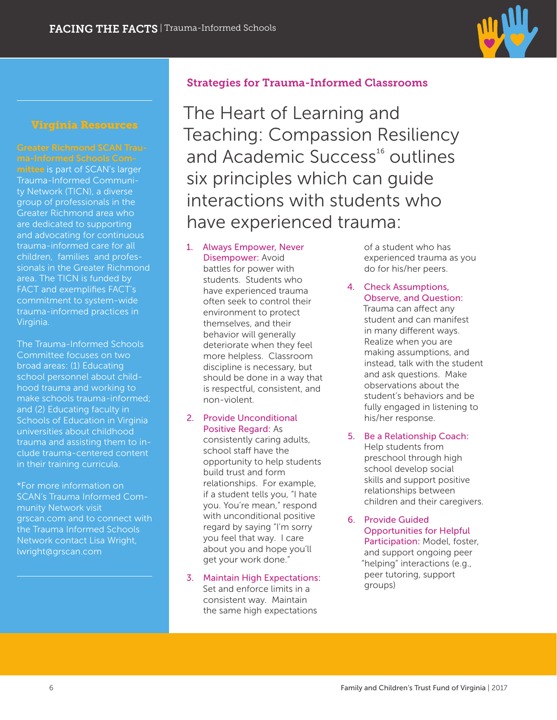

## Virginia Resources

#### Greater Richmond SCAN Trauma-Informed Schools Com-

mittee is part of SCAN's larger Trauma-Informed Community Network (TICN), a diverse group of professionals in the Greater Richmond area who are dedicated to supporting and advocating for continuous trauma-informed care for all children, families and professionals in the Greater Richmond area. The TICN is funded by FACT and exemplifies FACT's commitment to system-wide trauma-informed practices in Virginia.

The Trauma-Informed Schools Committee focuses on two broad areas: (1) Educating school personnel about childhood trauma and working to make schools trauma-informed; and (2) Educating faculty in Schools of Education in Virginia universities about childhood trauma and assisting them to include trauma-centered content in their training curricula.

\*For more information on SCAN's Trauma Informed Community Network visit grscan.com and to connect with the Trauma Informed Schools Network contact Lisa Wright, lwright@grscan.com

## Strategies for Trauma-Informed Classrooms

The Heart of Learning and Teaching: Compassion Resiliency and Academic Success<sup>16</sup> outlines six principles which can guide interactions with students who have experienced trauma:

### 1. Always Empower, Never Disempower: Avoid

battles for power with students. Students who have experienced trauma often seek to control their environment to protect themselves, and their behavior will generally deteriorate when they feel more helpless. Classroom discipline is necessary, but should be done in a way that is respectful, consistent, and non-violent.

## 2. Provide Unconditional Positive Regard: As

consistently caring adults, school staff have the opportunity to help students build trust and form relationships. For example, if a student tells you, "I hate you. You're mean," respond with unconditional positive regard by saying "I'm sorry you feel that way. I care about you and hope you'll get your work done."

#### 3. Maintain High Expectations: Set and enforce limits in a consistent way. Maintain the same high expectations

of a student who has experienced trauma as you do for his/her peers.

- 4. Check Assumptions, Observe, and Question: Trauma can affect any student and can manifest in many different ways. Realize when you are making assumptions, and instead, talk with the student and ask questions. Make observations about the student's behaviors and be fully engaged in listening to his/her response.
- 5. Be a Relationship Coach: Help students from preschool through high school develop social skills and support positive relationships between children and their caregivers.
- 6. Provide Guided Opportunities for Helpful Participation: Model, foster, and support ongoing peer "helping" interactions (e.g., peer tutoring, support groups)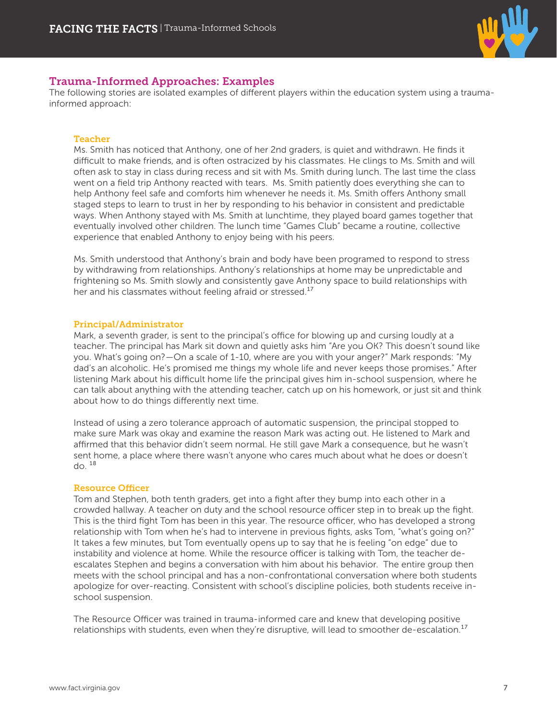

## Trauma-Informed Approaches: Examples

The following stories are isolated examples of different players within the education system using a traumainformed approach:

#### **Teacher**

Ms. Smith has noticed that Anthony, one of her 2nd graders, is quiet and withdrawn. He finds it difficult to make friends, and is often ostracized by his classmates. He clings to Ms. Smith and will often ask to stay in class during recess and sit with Ms. Smith during lunch. The last time the class went on a field trip Anthony reacted with tears. Ms. Smith patiently does everything she can to help Anthony feel safe and comforts him whenever he needs it. Ms. Smith offers Anthony small staged steps to learn to trust in her by responding to his behavior in consistent and predictable ways. When Anthony stayed with Ms. Smith at lunchtime, they played board games together that eventually involved other children. The lunch time "Games Club" became a routine, collective experience that enabled Anthony to enjoy being with his peers.

Ms. Smith understood that Anthony's brain and body have been programed to respond to stress by withdrawing from relationships. Anthony's relationships at home may be unpredictable and frightening so Ms. Smith slowly and consistently gave Anthony space to build relationships with her and his classmates without feeling afraid or stressed.<sup>17</sup>

#### Principal/Administrator

Mark, a seventh grader, is sent to the principal's office for blowing up and cursing loudly at a teacher. The principal has Mark sit down and quietly asks him "Are you OK? This doesn't sound like you. What's going on?—On a scale of 1-10, where are you with your anger?" Mark responds: "My dad's an alcoholic. He's promised me things my whole life and never keeps those promises." After listening Mark about his difficult home life the principal gives him in-school suspension, where he can talk about anything with the attending teacher, catch up on his homework, or just sit and think about how to do things differently next time.

Instead of using a zero tolerance approach of automatic suspension, the principal stopped to make sure Mark was okay and examine the reason Mark was acting out. He listened to Mark and affirmed that this behavior didn't seem normal. He still gave Mark a consequence, but he wasn't sent home, a place where there wasn't anyone who cares much about what he does or doesn't  $d^2$ <sup>18</sup>

#### Resource Officer

Tom and Stephen, both tenth graders, get into a fight after they bump into each other in a crowded hallway. A teacher on duty and the school resource officer step in to break up the fight. This is the third fight Tom has been in this year. The resource officer, who has developed a strong relationship with Tom when he's had to intervene in previous fights, asks Tom, "what's going on?" It takes a few minutes, but Tom eventually opens up to say that he is feeling "on edge" due to instability and violence at home. While the resource officer is talking with Tom, the teacher deescalates Stephen and begins a conversation with him about his behavior. The entire group then meets with the school principal and has a non-confrontational conversation where both students apologize for over-reacting. Consistent with school's discipline policies, both students receive inschool suspension.

The Resource Officer was trained in trauma-informed care and knew that developing positive relationships with students, even when they're disruptive, will lead to smoother de-escalation.<sup>17</sup>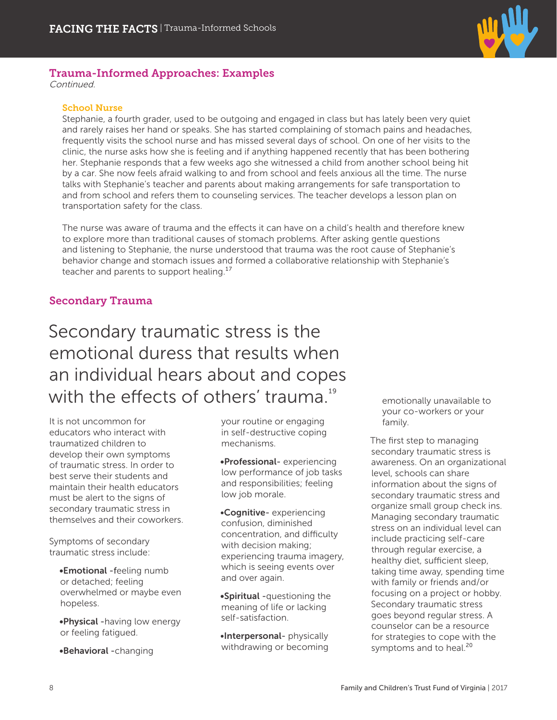

## Trauma-Informed Approaches: Examples

Continued.

#### School Nurse

Stephanie, a fourth grader, used to be outgoing and engaged in class but has lately been very quiet and rarely raises her hand or speaks. She has started complaining of stomach pains and headaches, frequently visits the school nurse and has missed several days of school. On one of her visits to the clinic, the nurse asks how she is feeling and if anything happened recently that has been bothering her. Stephanie responds that a few weeks ago she witnessed a child from another school being hit by a car. She now feels afraid walking to and from school and feels anxious all the time. The nurse talks with Stephanie's teacher and parents about making arrangements for safe transportation to and from school and refers them to counseling services. The teacher develops a lesson plan on transportation safety for the class.

The nurse was aware of trauma and the effects it can have on a child's health and therefore knew to explore more than traditional causes of stomach problems. After asking gentle questions and listening to Stephanie, the nurse understood that trauma was the root cause of Stephanie's behavior change and stomach issues and formed a collaborative relationship with Stephanie's teacher and parents to support healing. $17$ 

## Secondary Trauma

Secondary traumatic stress is the emotional duress that results when an individual hears about and copes with the effects of others' trauma. $19$ 

It is not uncommon for educators who interact with traumatized children to develop their own symptoms of traumatic stress. In order to best serve their students and maintain their health educators must be alert to the signs of secondary traumatic stress in themselves and their coworkers.

Symptoms of secondary traumatic stress include:

•Emotional -feeling numb or detached; feeling overwhelmed or maybe even hopeless.

•Physical -having low energy or feeling fatigued.

•Behavioral -changing

your routine or engaging in self-destructive coping mechanisms.

•Professional- experiencing low performance of job tasks and responsibilities; feeling low job morale.

•Cognitive- experiencing confusion, diminished concentration, and difficulty with decision making; experiencing trauma imagery, which is seeing events over and over again.

•Spiritual -questioning the meaning of life or lacking self-satisfaction.

•Interpersonal- physically withdrawing or becoming

emotionally unavailable to your co-workers or your family.

The first step to managing secondary traumatic stress is awareness. On an organizational level, schools can share information about the signs of secondary traumatic stress and organize small group check ins. Managing secondary traumatic stress on an individual level can include practicing self-care through regular exercise, a healthy diet, sufficient sleep, taking time away, spending time with family or friends and/or focusing on a project or hobby. Secondary traumatic stress goes beyond regular stress. A counselor can be a resource for strategies to cope with the symptoms and to heal.<sup>20</sup>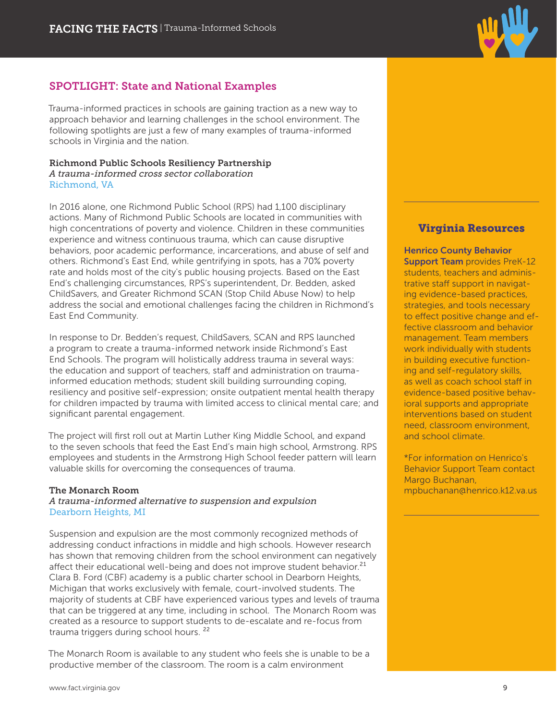## SPOTLIGHT: State and National Examples

Trauma-informed practices in schools are gaining traction as a new way to approach behavior and learning challenges in the school environment. The following spotlights are just a few of many examples of trauma-informed schools in Virginia and the nation.

#### Richmond Public Schools Resiliency Partnership A trauma-informed cross sector collaboration Richmond, VA

In 2016 alone, one Richmond Public School (RPS) had 1,100 disciplinary actions. Many of Richmond Public Schools are located in communities with high concentrations of poverty and violence. Children in these communities experience and witness continuous trauma, which can cause disruptive behaviors, poor academic performance, incarcerations, and abuse of self and others. Richmond's East End, while gentrifying in spots, has a 70% poverty rate and holds most of the city's public housing projects. Based on the East End's challenging circumstances, RPS's superintendent, Dr. Bedden, asked ChildSavers, and Greater Richmond SCAN (Stop Child Abuse Now) to help address the social and emotional challenges facing the children in Richmond's East End Community.

In response to Dr. Bedden's request, ChildSavers, SCAN and RPS launched a program to create a trauma-informed network inside Richmond's East End Schools. The program will holistically address trauma in several ways: the education and support of teachers, staff and administration on traumainformed education methods; student skill building surrounding coping, resiliency and positive self-expression; onsite outpatient mental health therapy for children impacted by trauma with limited access to clinical mental care; and significant parental engagement.

The project will first roll out at Martin Luther King Middle School, and expand to the seven schools that feed the East End's main high school, Armstrong. RPS employees and students in the Armstrong High School feeder pattern will learn valuable skills for overcoming the consequences of trauma.

#### The Monarch Room

A trauma-informed alternative to suspension and expulsion Dearborn Heights, MI

Suspension and expulsion are the most commonly recognized methods of addressing conduct infractions in middle and high schools. However research has shown that removing children from the school environment can negatively affect their educational well-being and does not improve student behavior.<sup>21</sup> Clara B. Ford (CBF) academy is a public charter school in Dearborn Heights, Michigan that works exclusively with female, court-involved students. The majority of students at CBF have experienced various types and levels of trauma that can be triggered at any time, including in school. The Monarch Room was created as a resource to support students to de-escalate and re-focus from trauma triggers during school hours.<sup>22</sup>

The Monarch Room is available to any student who feels she is unable to be a productive member of the classroom. The room is a calm environment

## Virginia Resources

Henrico County Behavior **Support Team provides PreK-12** students, teachers and administrative staff support in navigating evidence-based practices, strategies, and tools necessary to effect positive change and effective classroom and behavior management. Team members work individually with students in building executive functioning and self-regulatory skills, as well as coach school staff in evidence-based positive behavioral supports and appropriate interventions based on student need, classroom environment, and school climate.

\*For information on Henrico's Behavior Support Team contact Margo Buchanan, mpbuchanan@henrico.k12.va.us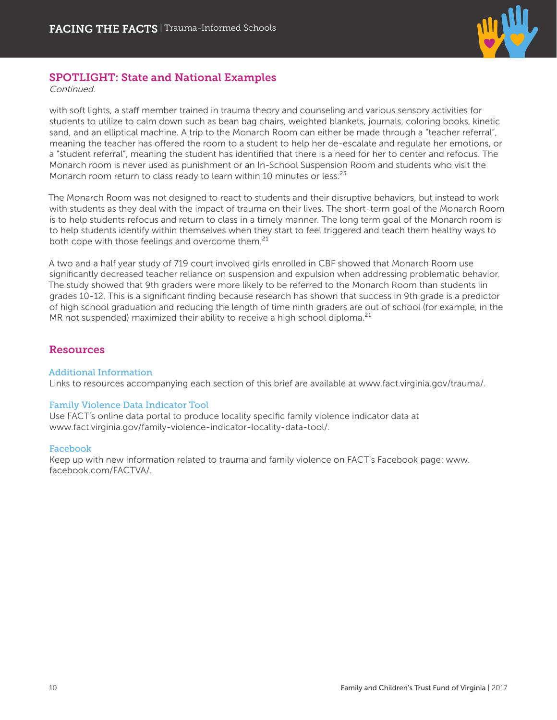

## SPOTLIGHT: State and National Examples

Continued.

with soft lights, a staff member trained in trauma theory and counseling and various sensory activities for students to utilize to calm down such as bean bag chairs, weighted blankets, journals, coloring books, kinetic sand, and an elliptical machine. A trip to the Monarch Room can either be made through a "teacher referral", meaning the teacher has offered the room to a student to help her de-escalate and regulate her emotions, or a "student referral", meaning the student has identified that there is a need for her to center and refocus. The Monarch room is never used as punishment or an In-School Suspension Room and students who visit the Monarch room return to class ready to learn within 10 minutes or less.<sup>23</sup>

The Monarch Room was not designed to react to students and their disruptive behaviors, but instead to work with students as they deal with the impact of trauma on their lives. The short-term goal of the Monarch Room is to help students refocus and return to class in a timely manner. The long term goal of the Monarch room is to help students identify within themselves when they start to feel triggered and teach them healthy ways to both cope with those feelings and overcome them.<sup>21</sup>

A two and a half year study of 719 court involved girls enrolled in CBF showed that Monarch Room use significantly decreased teacher reliance on suspension and expulsion when addressing problematic behavior. The study showed that 9th graders were more likely to be referred to the Monarch Room than students iin grades 10-12. This is a significant finding because research has shown that success in 9th grade is a predictor of high school graduation and reducing the length of time ninth graders are out of school (for example, in the MR not suspended) maximized their ability to receive a high school diploma.<sup>21</sup>

## Resources

#### Additional Information

Links to resources accompanying each section of this brief are available at www.fact.virginia.gov/trauma/.

#### Family Violence Data Indicator Tool

Use FACT's online data portal to produce locality specific family violence indicator data at www.fact.virginia.gov/family-violence-indicator-locality-data-tool/.

#### Facebook

Keep up with new information related to trauma and family violence on FACT's Facebook page: www. facebook.com/FACTVA/.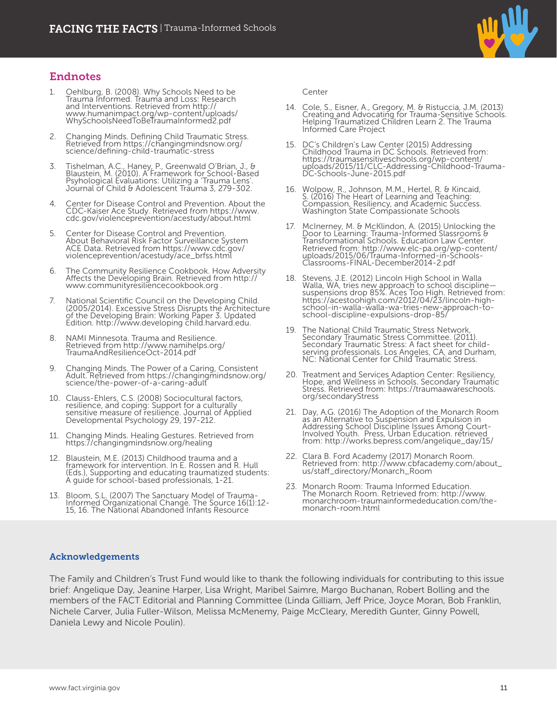

## Endnotes

- 1. Oehlburg, B. (2008). Why Schools Need to be Trauma Informed. Trauma and Loss: Research and Interventions. Retrieved from http:// www.humanimpact.org/wp-content/uploads/ WhySchoolsNeedToBeTraumaInformed2.pdf
- 2. Changing Minds. Defining Child Traumatic Stress. Retrieved from https://changingmindsnow.org/ science/defining-child-traumatic-stress
- 3. Tishelman, A.C., Haney, P., Greenwald O'Brian, J., & Blaustein, M. (2010). A Framework for School-Based Psyhological Evaluations: Utilizing a 'Trauma Lens'. Journal of Child & Adolescent Trauma 3, 279-302.
- 4. Center for Disease Control and Prevention. About the CDC-Kaiser Ace Study. Retrieved from https://www. cdc.gov/violenceprevention/acestudy/about.html
- 5. Center for Disease Control and Prevention. About Behavioral Risk Factor Surveillance System ACE Data. Retrieved from https://www.cdc.gov/ violenceprevention/acestudy/ace\_brfss.html
- 6. The Community Resilience Cookbook. How Adversity Affects the Developing Brain. Retrieved from http:// www.communityresiliencecookbook.org .
- 7. National Scientific Council on the Developing Child. (2005/2014). Excessive Stress Disrupts the Architecture of the Developing Brain: Working Paper 3. Updated Edition. http://www.developing child.harvard.edu.
- NAMI Minnesota. Trauma and Resilience. Retrieved from http://www.namihelps.org/ TraumaAndResilienceOct-2014.pdf
- 9. Changing Minds. The Power of a Caring, Consistent Adult. Retrieved from https://changingmindsnow.org/ science/the-power-of-a-caring-adult
- 10. Clauss-Ehlers, C.S. (2008) Sociocultural factors, resilience, and coping: Support for a culturally sensitive measure of resilience. Journal of Applied Developmental Psychology 29, 197-212.
- 11. Changing Minds. Healing Gestures. Retrieved from https://changingmindsnow.org/healing
- 12. Blaustein, M.E. (2013) Childhood trauma and a framework for intervention. In E. Rossen and R. Hull (Eds.), Supporting and educating traumatized students: A guide for school-based professionals, 1-21.
- 13. Bloom, S.L. (2007) The Sanctuary Model of Trauma-Informed Organizational Change. The Source 16(1):12- 15, 16. The National Abandoned Infants Resource

Center

- 14. Cole, S., Eisner, A., Gregory, M. & Ristuccia, J.M. (2013) Creating and Advocating for Trauma-Sensitive Schools. Helping Traumatized Children Learn 2. The Trauma Informed Care Project
- 15. DC's Children's Law Center (2015) Addressing Childhood Trauma in DC Schools. Retrieved from: https://traumasensitiveschools.org/wp-content/ uploads/2015/11/CLC-Addressing-Childhood-Trauma-DC-Schools-June-2015.pdf
- 16. Wolpow, R., Johnson, M.M., Hertel, R. & Kincaid, S. (2016) The Heart of Learning and Teaching: Compassion, Resiliency, and Academic Success. Washington State Compassionate Schools
- 17. McInerney, M. & McKlindon, A. (2015) Unlocking the Door to Learning: Trauma-Informed Slassrooms & Transformational Schools. Education Law Center. Retrieved from: http://www.elc-pa.org/wp-content/ uploads/2015/06/Trauma-Informed-in-Schools-Classrooms-FINAL-December2014-2.pdf
- 18. Stevens, J.E. (2012) Lincoln High School in Walla Walla, WA, tries new approach to school discipline suspensions drop 85%. Aces Too High. Retrieved from: https://acestoohigh.com/2012/04/23/lincoln-highschool-in-walla-walla-wa-tries-new-approach-toschool-discipline-expulsions-drop-85/
- 19. The National Child Traumatic Stress Network Secondary Traumatic Stress Committee. (2011). Secondary Traumatic Stress: A fact sheet for childserving professionals. Los Angeles, CA, and Durham, NC: National Center for Child Traumatic Stress.
- 20. Treatment and Services Adaption Center: Resiliency, Hope, and Wellness in Schools. Secondary Traumatic Stress. Retrieved from: https://traumaawareschools. org/secondaryStress
- 21. Day, A.G. (2016) The Adoption of the Monarch Room as an Alternative to Suspension and Expulsion in Addressing School Discipline Issues Among Court-Involved Youth. Press, Urban Education. retrieved from: http://works.bepress.com/angelique\_day/15/
- 22. Clara B. Ford Academy (2017) Monarch Room. Retrieved from: http://www.cbfacademy.com/about\_ us/staff\_directory/Monarch\_Room
- 23. Monarch Room: Trauma Informed Education. The Monarch Room. Retrieved from: http://www. monarchroom-traumainformededucation.com/themonarch-room.html

#### Acknowledgements

The Family and Children's Trust Fund would like to thank the following individuals for contributing to this issue brief: Angelique Day, Jeanine Harper, Lisa Wright, Maribel Saimre, Margo Buchanan, Robert Bolling and the members of the FACT Editorial and Planning Committee (Linda Gilliam, Jeff Price, Joyce Moran, Bob Franklin, Nichele Carver, Julia Fuller-Wilson, Melissa McMenemy, Paige McCleary, Meredith Gunter, Ginny Powell, Daniela Lewy and Nicole Poulin).